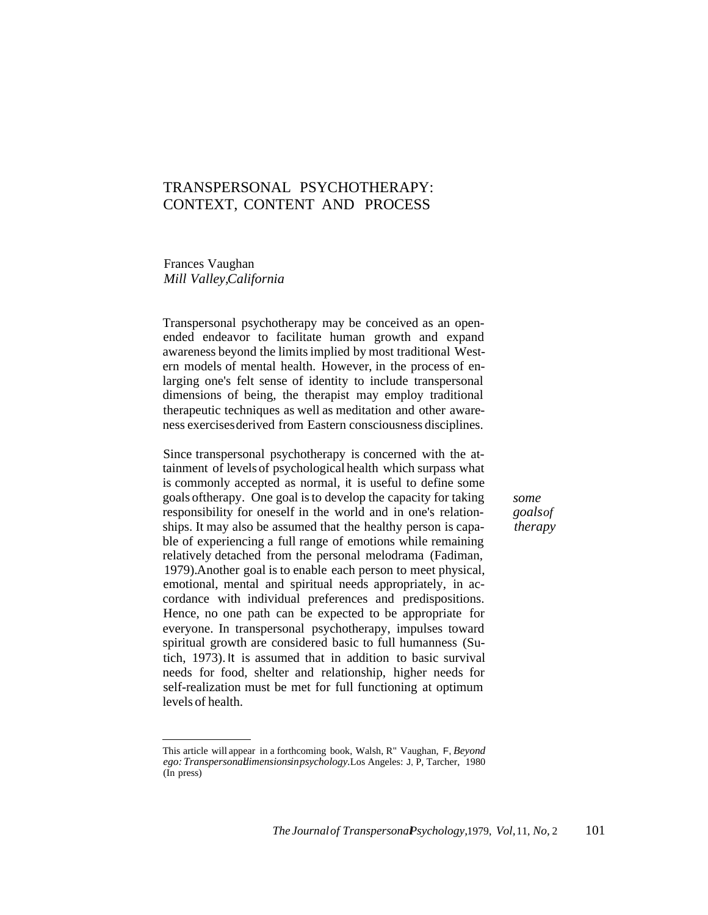# TRANSPERSONAL PSYCHOTHERAPY: CONTEXT, CONTENT AND PROCESS

Frances Vaughan *Mill Valley,California*

Transpersonal psychotherapy may be conceived as an openended endeavor to facilitate human growth and expand awareness beyond the limits implied by most traditional Western models of mental health. However, in the process of enlarging one's felt sense of identity to include transpersonal dimensions of being, the therapist may employ traditional therapeutic techniques as well as meditation and other awareness exercisesderived from Eastern consciousness disciplines.

Since transpersonal psychotherapy is concerned with the attainment of levels of psychological health which surpass what is commonly accepted as normal, it is useful to define some goals oftherapy. One goal is to develop the capacity for taking responsibility for oneself in the world and in one's relationships. It may also be assumed that the healthy person is capable of experiencing a full range of emotions while remaining relatively detached from the personal melodrama (Fadiman, 1979).Another goal is to enable each person to meet physical, emotional, mental and spiritual needs appropriately, in accordance with individual preferences and predispositions. Hence, no one path can be expected to be appropriate for everyone. In transpersonal psychotherapy, impulses toward spiritual growth are considered basic to full humanness (Sutich, 1973). It is assumed that in addition to basic survival needs for food, shelter and relationship, higher needs for self-realization must be met for full functioning at optimum levels of health.

*some goalsof therapy*

This article will appear in a forthcoming book, Walsh, R" Vaughan, F, *Beyond ego: Transpersonaldimensionsinpsychology.*Los Angeles: J, P, Tarcher, 1980 (In press)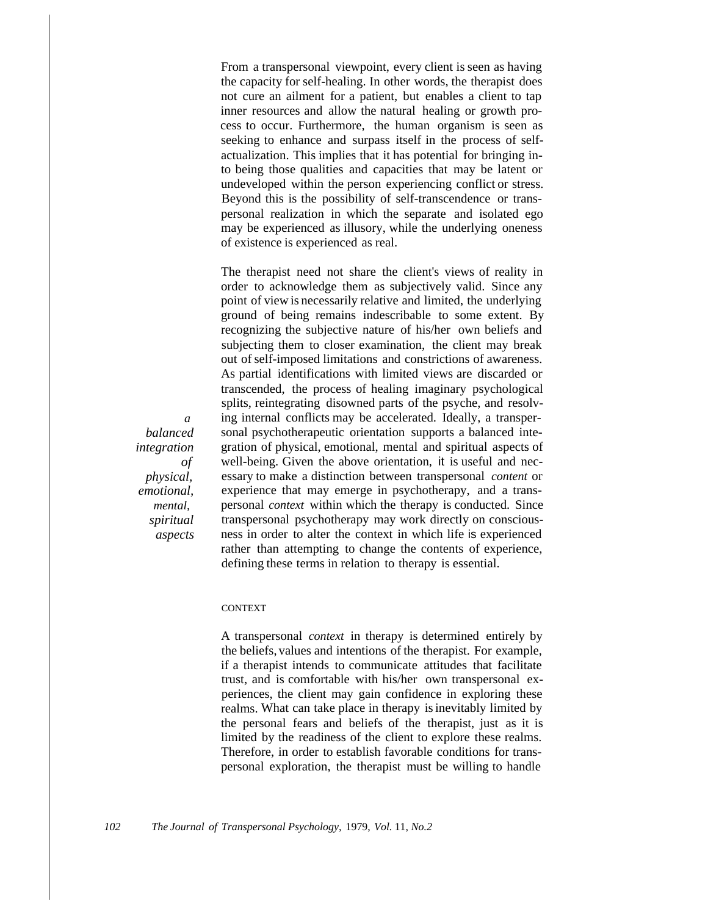From a transpersonal viewpoint, every client is seen as having the capacity for self-healing. In other words, the therapist does not cure an ailment for a patient, but enables a client to tap inner resources and allow the natural healing or growth process to occur. Furthermore, the human organism is seen as seeking to enhance and surpass itself in the process of selfactualization. This implies that it has potential for bringing into being those qualities and capacities that may be latent or undeveloped within the person experiencing conflict or stress. Beyond this is the possibility of self-transcendence or transpersonal realization in which the separate and isolated ego may be experienced as illusory, while the underlying oneness of existence is experienced as real.

The therapist need not share the client's views of reality in order to acknowledge them as subjectively valid. Since any point of view is necessarily relative and limited, the underlying ground of being remains indescribable to some extent. By recognizing the subjective nature of his/her own beliefs and subjecting them to closer examination, the client may break out of self-imposed limitations and constrictions of awareness. As partial identifications with limited views are discarded or transcended, the process of healing imaginary psychological splits, reintegrating disowned parts of the psyche, and resolving internal conflicts may be accelerated. Ideally, a transpersonal psychotherapeutic orientation supports a balanced integration of physical, emotional, mental and spiritual aspects of well-being. Given the above orientation, it is useful and necessary to make a distinction between transpersonal *content* or experience that may emerge in psychotherapy, and a transpersonal *context* within which the therapy is conducted. Since transpersonal psychotherapy may work directly on consciousness in order to alter the context in which life is experienced rather than attempting to change the contents of experience, defining these terms in relation to therapy is essential.

*integration of physical, emotional, mental, spiritual aspects*

*a balanced*

### **CONTEXT**

A transpersonal *context* in therapy is determined entirely by the beliefs, values and intentions of the therapist. For example, if a therapist intends to communicate attitudes that facilitate trust, and is comfortable with his/her own transpersonal experiences, the client may gain confidence in exploring these realms. What can take place in therapy is inevitably limited by the personal fears and beliefs of the therapist, just as it is limited by the readiness of the client to explore these realms. Therefore, in order to establish favorable conditions for transpersonal exploration, the therapist must be willing to handle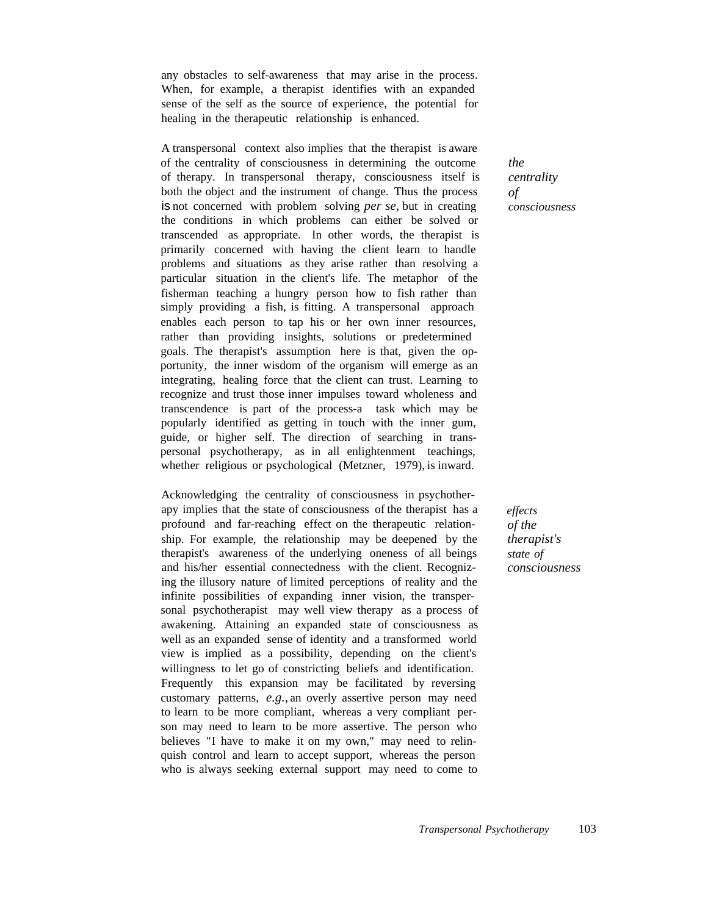any obstacles to self-awareness that may arise in the process. When, for example, a therapist identifies with an expanded sense of the self as the source of experience, the potential for healing in the therapeutic relationship is enhanced.

A transpersonal context also implies that the therapist is aware of the centrality of consciousness in determining the outcome of therapy. In transpersonal therapy, consciousness itself is both the object and the instrument of change. Thus the process is not concerned with problem solving *per se,* but in creating the conditions in which problems can either be solved or transcended as appropriate. In other words, the therapist is primarily concerned with having the client learn to handle problems and situations as they arise rather than resolving a particular situation in the client's life. The metaphor of the fisherman teaching a hungry person how to fish rather than simply providing a fish, is fitting. A transpersonal approach enables each person to tap his or her own inner resources, rather than providing insights, solutions or predetermined goals. The therapist's assumption here is that, given the opportunity, the inner wisdom of the organism will emerge as an integrating, healing force that the client can trust. Learning to recognize and trust those inner impulses toward wholeness and transcendence is part of the process-a task which may be popularly identified as getting in touch with the inner gum, guide, or higher self. The direction of searching in transpersonal psychotherapy, as in all enlightenment teachings, whether religious or psychological (Metzner, 1979), is inward.

Acknowledging the centrality of consciousness in psychotherapy implies that the state of consciousness of the therapist has a profound and far-reaching effect on the therapeutic relationship. For example, the relationship may be deepened by the therapist's awareness of the underlying oneness of all beings and his/her essential connectedness with the client. Recognizing the illusory nature of limited perceptions of reality and the infinite possibilities of expanding inner vision, the transpersonal psychotherapist may well view therapy as a process of awakening. Attaining an expanded state of consciousness as well as an expanded sense of identity and a transformed world view is implied as a possibility, depending on the client's willingness to let go of constricting beliefs and identification. Frequently this expansion may be facilitated by reversing customary patterns, *e.g.,* an overly assertive person may need to learn to be more compliant, whereas a very compliant person may need to learn to be more assertive. The person who believes "I have to make it on my own," may need to relinquish control and learn to accept support, whereas the person who is always seeking external support may need to come to

*the centrality of consciousness*

*effects of the therapist's state of consciousness*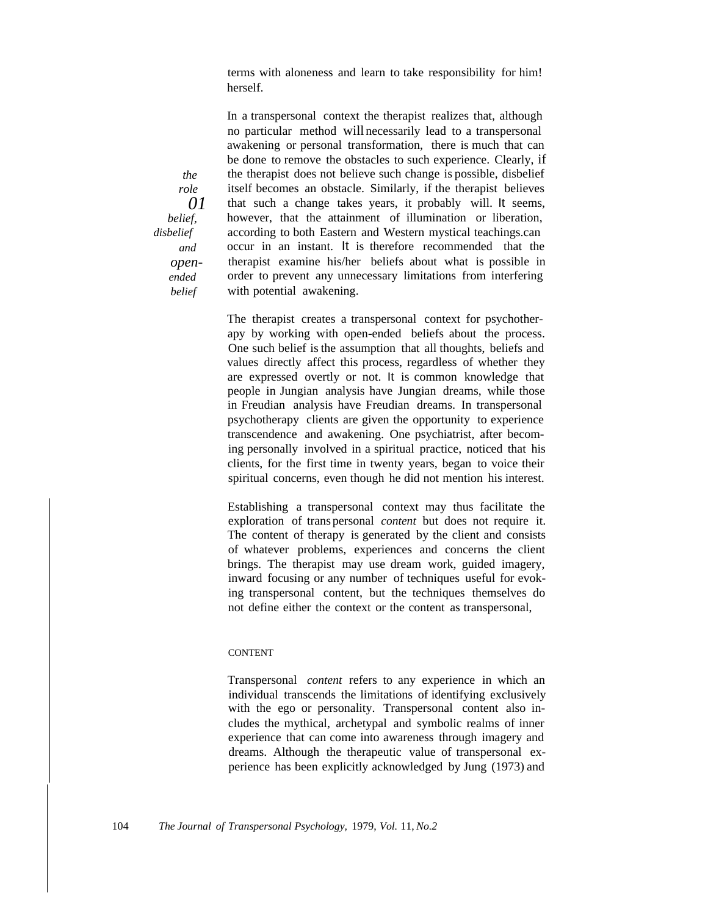terms with aloneness and learn to take responsibility for him! herself.

In a transpersonal context the therapist realizes that, although no particular method will necessarily lead to a transpersonal awakening or personal transformation, there is much that can be done to remove the obstacles to such experience. Clearly, if the therapist does not believe such change is possible, disbelief itself becomes an obstacle. Similarly, if the therapist believes that such a change takes years, it probably will. It seems, however, that the attainment of illumination or liberation. according to both Eastern and Western mystical teachings.can occur in an instant. It is therefore recommended that the therapist examine his/her beliefs about what is possible in order to prevent any unnecessary limitations from interfering with potential awakening.

The therapist creates a transpersonal context for psychotherapy by working with open-ended beliefs about the process. One such belief is the assumption that all thoughts, beliefs and values directly affect this process, regardless of whether they are expressed overtly or not. It is common knowledge that people in Jungian analysis have Jungian dreams, while those in Freudian analysis have Freudian dreams. In transpersonal psychotherapy clients are given the opportunity to experience transcendence and awakening. One psychiatrist, after becoming personally involved in a spiritual practice, noticed that his clients, for the first time in twenty years, began to voice their spiritual concerns, even though he did not mention his interest.

Establishing a transpersonal context may thus facilitate the exploration of trans personal *content* but does not require it. The content of therapy is generated by the client and consists of whatever problems, experiences and concerns the client brings. The therapist may use dream work, guided imagery, inward focusing or any number of techniques useful for evoking transpersonal content, but the techniques themselves do not define either the context or the content as transpersonal,

## CONTENT

Transpersonal *content* refers to any experience in which an individual transcends the limitations of identifying exclusively with the ego or personality. Transpersonal content also includes the mythical, archetypal and symbolic realms of inner experience that can come into awareness through imagery and dreams. Although the therapeutic value of transpersonal experience has been explicitly acknowledged by Jung (1973) and

*the role 01 belief, disbelief and openended belief*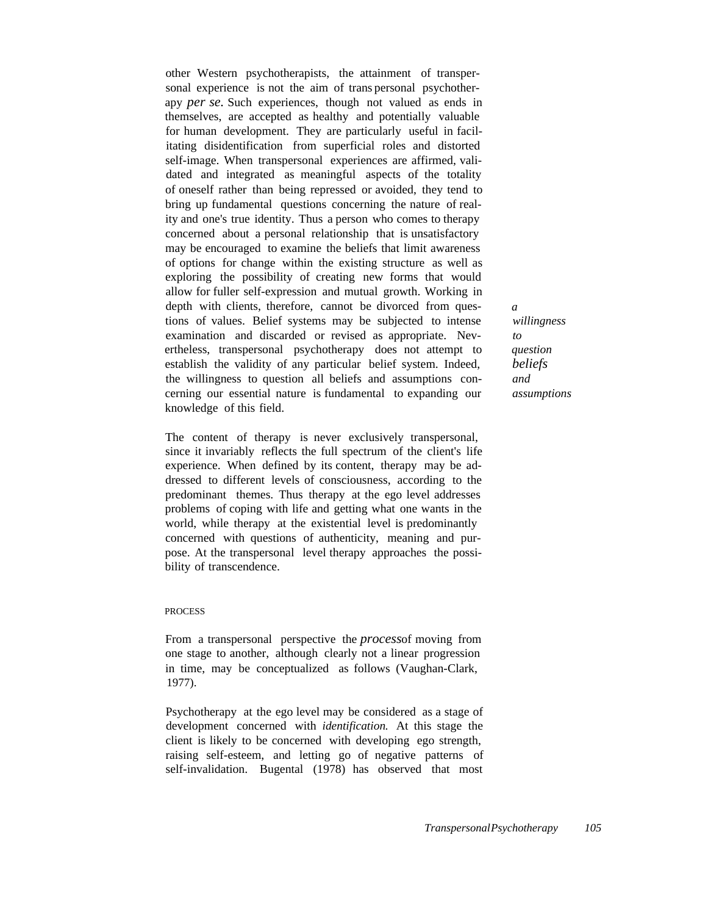other Western psychotherapists, the attainment of transpersonal experience is not the aim of trans personal psychotherapy *per se.* Such experiences, though not valued as ends in themselves, are accepted as healthy and potentially valuable for human development. They are particularly useful in facilitating disidentification from superficial roles and distorted self-image. When transpersonal experiences are affirmed, validated and integrated as meaningful aspects of the totality of oneself rather than being repressed or avoided, they tend to bring up fundamental questions concerning the nature of reality and one's true identity. Thus a person who comes to therapy concerned about a personal relationship that is unsatisfactory may be encouraged to examine the beliefs that limit awareness of options for change within the existing structure as well as exploring the possibility of creating new forms that would allow for fuller self-expression and mutual growth. Working in depth with clients, therefore, cannot be divorced from questions of values. Belief systems may be subjected to intense examination and discarded or revised as appropriate. Nevertheless, transpersonal psychotherapy does not attempt to establish the validity of any particular belief system. Indeed, the willingness to question all beliefs and assumptions concerning our essential nature is fundamental to expanding our knowledge of this field.

The content of therapy is never exclusively transpersonal, since it invariably reflects the full spectrum of the client's life experience. When defined by its content, therapy may be addressed to different levels of consciousness, according to the predominant themes. Thus therapy at the ego level addresses problems of coping with life and getting what one wants in the world, while therapy at the existential level is predominantly concerned with questions of authenticity, meaning and purpose. At the transpersonal level therapy approaches the possibility of transcendence.

### **PROCESS**

From a transpersonal perspective the *process*of moving from one stage to another, although clearly not a linear progression in time, may be conceptualized as follows (Vaughan-Clark, 1977).

Psychotherapy at the ego level may be considered as a stage of development concerned with *identification.* At this stage the client is likely to be concerned with developing ego strength, raising self-esteem, and letting go of negative patterns of self-invalidation. Bugental (1978) has observed that most

*a willingness to question beliefs and assumptions*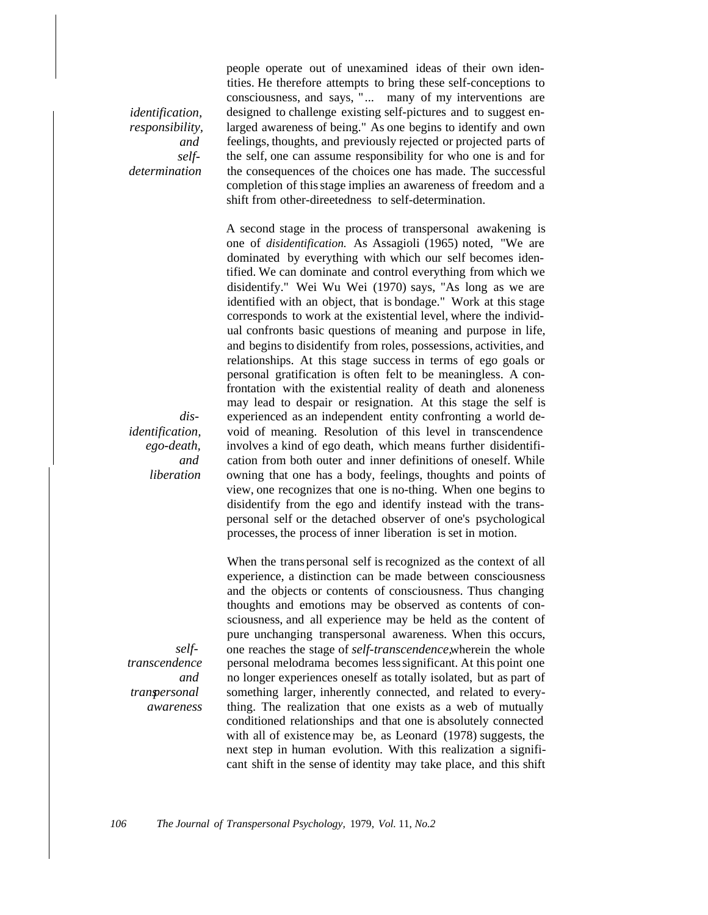*identification, responsibility, and selfdetermination*

*disidentification, ego-death, and liberation*

*selftranscendence and transpersonal awareness* people operate out of unexamined ideas of their own identities. He therefore attempts to bring these self-conceptions to consciousness, and says, " ... many of my interventions are designed to challenge existing self-pictures and to suggest enlarged awareness of being." As one begins to identify and own feelings, thoughts, and previously rejected or projected parts of the self, one can assume responsibility for who one is and for the consequences of the choices one has made. The successful completion of this stage implies an awareness of freedom and a shift from other-direetedness to self-determination.

A second stage in the process of transpersonal awakening is one of *disidentification.* As Assagioli (1965) noted, "We are dominated by everything with which our self becomes identified. We can dominate and control everything from which we disidentify." Wei Wu Wei (1970) says, "As long as we are identified with an object, that is bondage." Work at this stage corresponds to work at the existential level, where the individual confronts basic questions of meaning and purpose in life, and begins to disidentify from roles, possessions, activities, and relationships. At this stage success in terms of ego goals or personal gratification is often felt to be meaningless. A confrontation with the existential reality of death and aloneness may lead to despair or resignation. At this stage the self is experienced as an independent entity confronting a world devoid of meaning. Resolution of this level in transcendence involves a kind of ego death, which means further disidentification from both outer and inner definitions of oneself. While owning that one has a body, feelings, thoughts and points of view, one recognizes that one is no-thing. When one begins to disidentify from the ego and identify instead with the transpersonal self or the detached observer of one's psychological processes, the process of inner liberation is set in motion.

When the transpersonal self is recognized as the context of all experience, a distinction can be made between consciousness and the objects or contents of consciousness. Thus changing thoughts and emotions may be observed as contents of consciousness, and all experience may be held as the content of pure unchanging transpersonal awareness. When this occurs, one reaches the stage of *self-transcendence,*wherein the whole personal melodrama becomes lesssignificant. At this point one no longer experiences oneself as totally isolated, but as part of something larger, inherently connected, and related to everything. The realization that one exists as a web of mutually conditioned relationships and that one is absolutely connected with all of existence may be, as Leonard (1978) suggests, the next step in human evolution. With this realization a significant shift in the sense of identity may take place, and this shift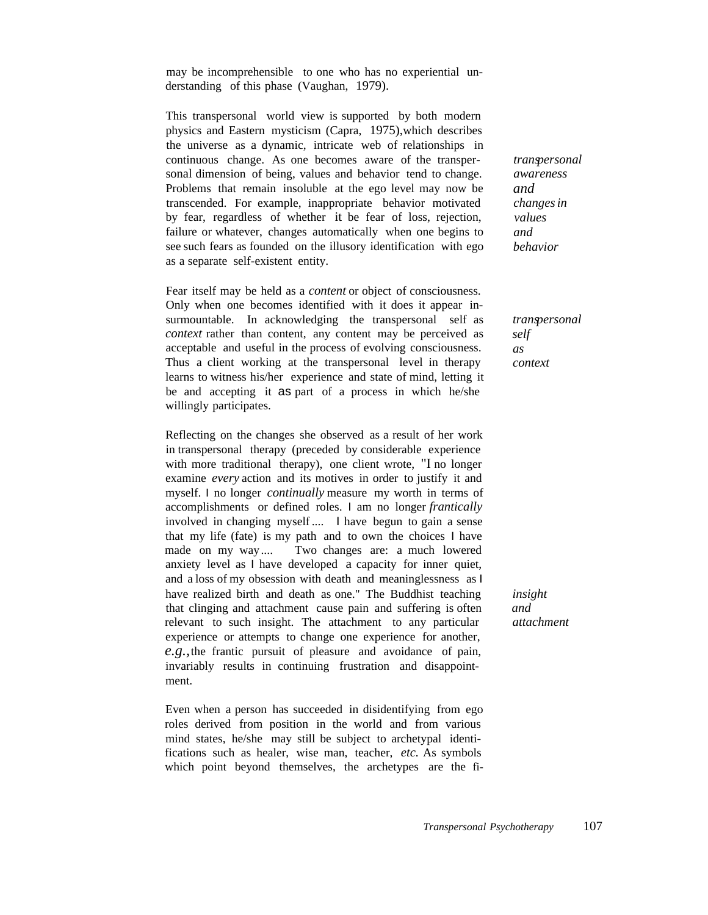may be incomprehensible to one who has no experiential understanding of this phase (Vaughan, 1979).

This transpersonal world view is supported by both modern physics and Eastern mysticism (Capra, 1975),which describes the universe as a dynamic, intricate web of relationships in continuous change. As one becomes aware of the transpersonal dimension of being, values and behavior tend to change. Problems that remain insoluble at the ego level may now be transcended. For example, inappropriate behavior motivated by fear, regardless of whether it be fear of loss, rejection, failure or whatever, changes automatically when one begins to see such fears as founded on the illusory identification with ego as a separate self-existent entity.

Fear itself may be held as a *content* or object of consciousness. Only when one becomes identified with it does it appear insurmountable. In acknowledging the transpersonal self as *context* rather than content, any content may be perceived as acceptable and useful in the process of evolving consciousness. Thus a client working at the transpersonal level in therapy learns to witness his/her experience and state of mind, letting it be and accepting it as part of a process in which he/she willingly participates.

Reflecting on the changes she observed as a result of her work in transpersonal therapy (preceded by considerable experience with more traditional therapy), one client wrote, "I no longer examine *every* action and its motives in order to justify it and myself. I no longer *continually* measure my worth in terms of accomplishments or defined roles. I am no longer *frantically* involved in changing myself .... I have begun to gain a sense that my life (fate) is my path and to own the choices I have made on my way.... Two changes are: a much lowered anxiety level as I have developed a capacity for inner quiet, and a loss of my obsession with death and meaninglessness as I have realized birth and death as one." The Buddhist teaching that clinging and attachment cause pain and suffering is often relevant to such insight. The attachment to any particular experience or attempts to change one experience for another, *e.g.,*the frantic pursuit of pleasure and avoidance of pain, invariably results in continuing frustration and disappointment.

Even when a person has succeeded in disidentifying from ego roles derived from position in the world and from various mind states, he/she may still be subject to archetypal identifications such as healer, wise man, teacher, *etc.* As symbols which point beyond themselves, the archetypes are the fi*transpersonal awareness and changes in values and behavior*

*transpersonal self as context*

*insight and attachment*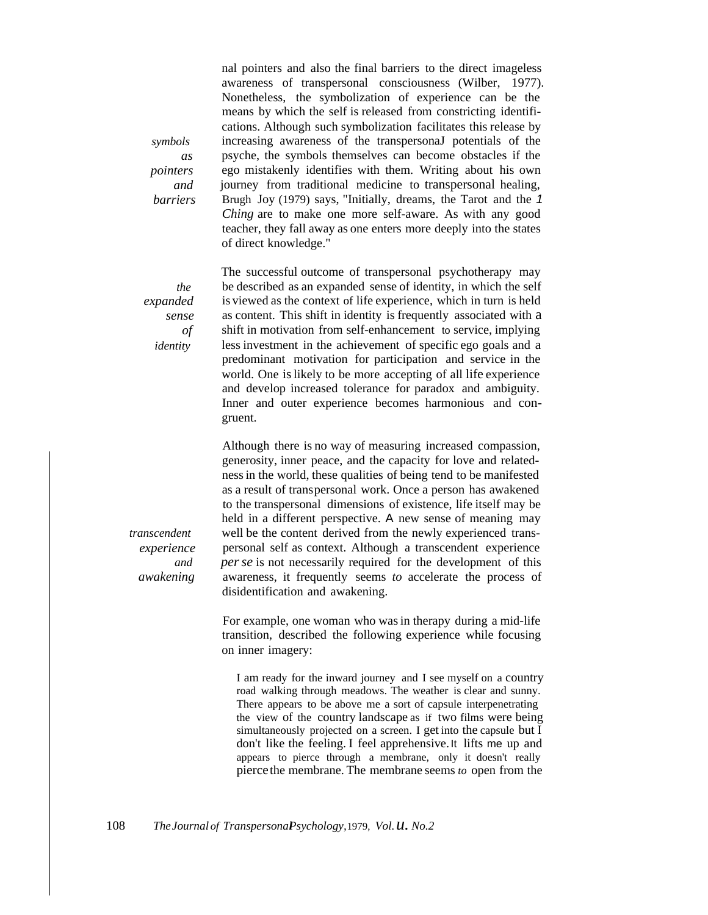nal pointers and also the final barriers to the direct imageless awareness of transpersonal consciousness (Wilber, 1977). Nonetheless, the symbolization of experience can be the means by which the self is released from constricting identifications. Although such symbolization facilitates this release by increasing awareness of the transpersonaJ potentials of the psyche, the symbols themselves can become obstacles if the ego mistakenly identifies with them. Writing about his own journey from traditional medicine to transpersonal healing, Brugh Joy (1979) says, "Initially, dreams, the Tarot and the 1 *Ching* are to make one more self-aware. As with any good teacher, they fall away as one enters more deeply into the states of direct knowledge."

*the expanded sense of identity* The successful outcome of transpersonal psychotherapy may be described as an expanded sense of identity, in which the self is viewed as the context of life experience, which in turn is held

as content. This shift in identity is frequently associated with a shift in motivation from self-enhancement to service, implying less investment in the achievement of specific ego goals and a predominant motivation for participation and service in the world. One is likely to be more accepting of all life experience and develop increased tolerance for paradox and ambiguity. Inner and outer experience becomes harmonious and congruent. Although there is no way of measuring increased compassion,

generosity, inner peace, and the capacity for love and relatedness in the world, these qualities of being tend to be manifested as a result of transpersonal work. Once a person has awakened to the transpersonal dimensions of existence, life itself may be held in a different perspective. A new sense of meaning may well be the content derived from the newly experienced transpersonal self as context. Although a transcendent experience *per se* is not necessarily required for the development of this awareness, it frequently seems *to* accelerate the process of disidentification and awakening.

For example, one woman who was in therapy during a mid-life transition, described the following experience while focusing on inner imagery:

I am ready for the inward journey and I see myself on a country road walking through meadows. The weather is clear and sunny. There appears to be above me a sort of capsule interpenetrating the view of the country landscape as if two films were being simultaneously projected on a screen. I get into the capsule but I don't like the feeling. I feel apprehensive.It lifts me up and appears to pierce through a membrane, only it doesn't really piercethe membrane. The membrane seems *to* open from the

*as pointers and barriers*

*symbols*

*transcendent experience and awakening*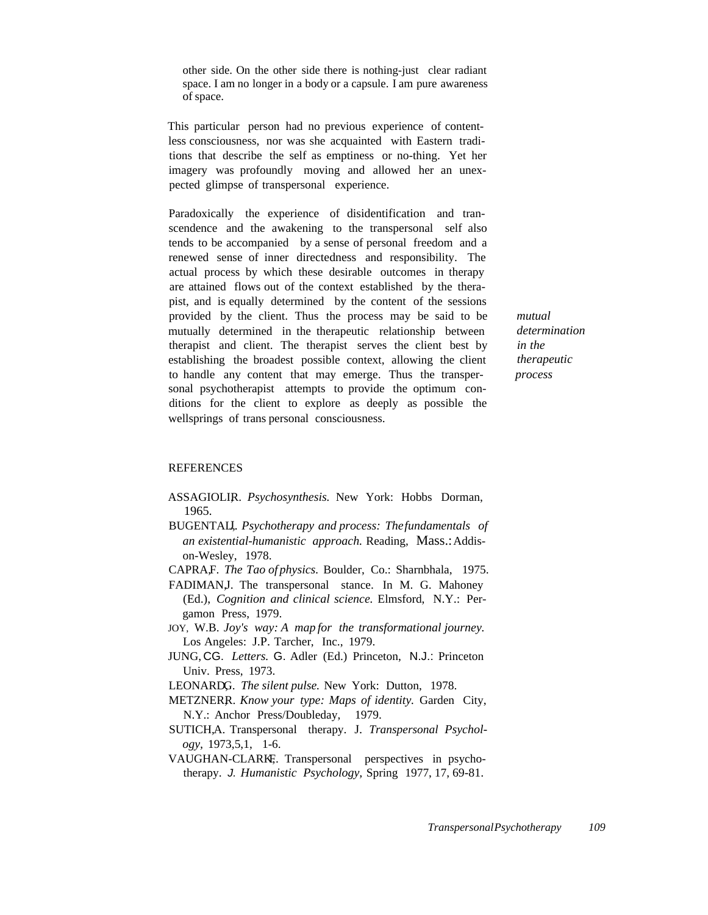other side. On the other side there is nothing-just clear radiant space. I am no longer in a body or a capsule. I am pure awareness of space.

This particular person had no previous experience of contentless consciousness, nor was she acquainted with Eastern traditions that describe the self as emptiness or no-thing. Yet her imagery was profoundly moving and allowed her an unexpected glimpse of transpersonal experience.

Paradoxically the experience of disidentification and transcendence and the awakening to the transpersonal self also tends to be accompanied by a sense of personal freedom and a renewed sense of inner directedness and responsibility. The actual process by which these desirable outcomes in therapy are attained flows out of the context established by the therapist, and is equally determined by the content of the sessions provided by the client. Thus the process may be said to be mutually determined in the therapeutic relationship between therapist and client. The therapist serves the client best by establishing the broadest possible context, allowing the client to handle any content that may emerge. Thus the transpersonal psychotherapist attempts to provide the optimum conditions for the client to explore as deeply as possible the wellsprings of trans personal consciousness.

*mutual determination in the therapeutic process*

## **REFERENCES**

- ASSAGIOLIR. *Psychosynthesis*. New York: Hobbs Dorman, 1965.
- BUGENTALL, *Psychotherapy and process: Thefundamentals of an existential-humanistic approach.* Reading, Mass.:Addison-Wesley, 1978.
- CAPRAF. *The Tao of physics*. Boulder, Co.: Sharnbhala, 1975.
- FADIMAN,J. The transpersonal stance. In M. G. Mahoney (Ed.), *Cognition and clinical science.* Elmsford, N.Y.: Pergamon Press, 1979.
- JOY, W.B. *Joy's way: A map for the transformational journey.* Los Angeles: J.P. Tarcher, Inc., 1979.
- JUNG, CG. *Letters.* G. Adler (Ed.) Princeton, N.J.: Princeton Univ. Press, 1973.
- LEONARDG. *The silent pulse*. New York: Dutton, 1978.
- METZNERR. *Know your type: Maps of identity*. Garden City, N.Y.: Anchor Press/Doubleday, 1979.
- SUTICH,A. Transpersonal therapy. J. *Transpersonal Psychology,* 1973,5,1, 1-6.
- VAUGHAN-CLARK, Transpersonal perspectives in psychotherapy. J. *Humanistic Psychology,* Spring 1977, 17, 69-81.